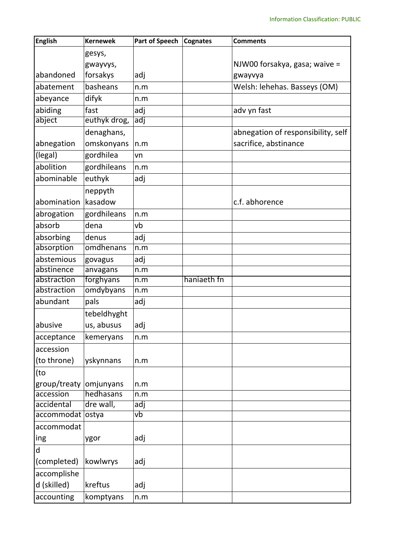| <b>English</b>   | <b>Kernewek</b> | <b>Part of Speech</b> | <b>Cognates</b> | <b>Comments</b>                    |  |
|------------------|-----------------|-----------------------|-----------------|------------------------------------|--|
|                  | gesys,          |                       |                 |                                    |  |
|                  | gwayvys,        |                       |                 | NJW00 forsakya, gasa; waive =      |  |
| abandoned        | forsakys        | adj                   |                 | gwayvya                            |  |
| abatement        | basheans        | n.m                   |                 | Welsh: lehehas. Basseys (OM)       |  |
| abeyance         | difyk           | n.m                   |                 |                                    |  |
| abiding          | fast            | adj                   |                 | adv yn fast                        |  |
| abject           | euthyk drog,    | adj                   |                 |                                    |  |
|                  | denaghans,      |                       |                 | abnegation of responsibility, self |  |
| abnegation       | omskonyans      | n.m                   |                 | sacrifice, abstinance              |  |
| (legal)          | gordhilea       | vn                    |                 |                                    |  |
| abolition        | gordhileans     | n.m                   |                 |                                    |  |
| abominable       | euthyk          | adj                   |                 |                                    |  |
|                  | neppyth         |                       |                 |                                    |  |
| abomination      | kasadow         |                       |                 | c.f. abhorence                     |  |
| abrogation       | gordhileans     | n.m                   |                 |                                    |  |
| absorb           | dena            | vb                    |                 |                                    |  |
| absorbing        | denus           | adj                   |                 |                                    |  |
| absorption       | omdhenans       | n.m                   |                 |                                    |  |
| abstemious       | govagus         | adj                   |                 |                                    |  |
| abstinence       | anvagans        | n.m                   |                 |                                    |  |
| abstraction      | forghyans       | n.m                   | haniaeth fn     |                                    |  |
| abstraction      | omdybyans       | n.m                   |                 |                                    |  |
| abundant         | pals            | adj                   |                 |                                    |  |
|                  | tebeldhyght     |                       |                 |                                    |  |
| abusive          | us, abusus      | adj                   |                 |                                    |  |
| acceptance       | kemeryans       | n.m                   |                 |                                    |  |
| accession        |                 |                       |                 |                                    |  |
| (to throne)      | yskynnans       | n.m                   |                 |                                    |  |
| (to              |                 |                       |                 |                                    |  |
| group/treaty     | omjunyans       | n.m                   |                 |                                    |  |
| accession        | hedhasans       | n.m                   |                 |                                    |  |
| accidental       | dre wall,       | adj                   |                 |                                    |  |
| accommodat ostya |                 | vb                    |                 |                                    |  |
| accommodat       |                 |                       |                 |                                    |  |
| ing              | ygor            | adj                   |                 |                                    |  |
| $\mathsf{d}$     |                 |                       |                 |                                    |  |
| (completed)      | kowlwrys        | adj                   |                 |                                    |  |
| accomplishe      |                 |                       |                 |                                    |  |
| d (skilled)      | kreftus         | adj                   |                 |                                    |  |
| accounting       | komptyans       | n.m                   |                 |                                    |  |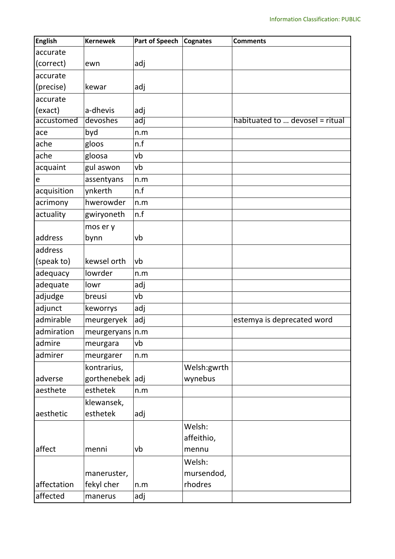| accurate<br>(correct)<br>adj<br>ewn<br>(precise)<br>adj<br>kewar<br>accurate<br>(exact)<br>a-dhevis<br>adj<br>accustomed<br>devoshes<br>habituated to  devosel = ritual<br>adj<br>byd<br>n.m<br>n.f<br>ache<br>gloos<br>gloosa<br>vb<br>gul aswon<br>vb<br>assentyans<br>n.m<br>ynkerth<br>n.f<br>acquisition<br>hwerowder<br>acrimony<br>n.m<br>actuality<br>n.f<br>gwiryoneth<br>mos er y<br>bynn<br>vb<br>(speak to)<br>kewsel orth<br>vb<br>lowrder<br>n.m<br>adequate<br>lowr<br>adj<br>adjudge<br>vþ<br>breusi<br>adjunct<br>adj<br>keworrys<br>admirable<br>meurgeryek<br>adj<br>estemya is deprecated word<br>meurgeryans $ n.m$<br>admire<br>vb<br>meurgara<br>admirer<br>meurgarer<br>n.m<br>kontrarius,<br>Welsh:gwrth<br>gorthenebek adj<br>wynebus<br>esthetek<br>aesthete<br>n.m<br>klewansek,<br>esthetek<br>adj<br>Welsh:<br>affeithio,<br>affect<br>vb<br>menni<br>mennu<br>Welsh:<br>mursendod,<br>maneruster,<br>affectation<br>fekyl cher<br>rhodres<br>n.m<br>manerus | <b>English</b> | <b>Kernewek</b> | <b>Part of Speech</b> | <b>Cognates</b> | <b>Comments</b> |
|--------------------------------------------------------------------------------------------------------------------------------------------------------------------------------------------------------------------------------------------------------------------------------------------------------------------------------------------------------------------------------------------------------------------------------------------------------------------------------------------------------------------------------------------------------------------------------------------------------------------------------------------------------------------------------------------------------------------------------------------------------------------------------------------------------------------------------------------------------------------------------------------------------------------------------------------------------------------------------------------|----------------|-----------------|-----------------------|-----------------|-----------------|
|                                                                                                                                                                                                                                                                                                                                                                                                                                                                                                                                                                                                                                                                                                                                                                                                                                                                                                                                                                                            |                |                 |                       |                 |                 |
|                                                                                                                                                                                                                                                                                                                                                                                                                                                                                                                                                                                                                                                                                                                                                                                                                                                                                                                                                                                            |                |                 |                       |                 |                 |
|                                                                                                                                                                                                                                                                                                                                                                                                                                                                                                                                                                                                                                                                                                                                                                                                                                                                                                                                                                                            | accurate       |                 |                       |                 |                 |
|                                                                                                                                                                                                                                                                                                                                                                                                                                                                                                                                                                                                                                                                                                                                                                                                                                                                                                                                                                                            |                |                 |                       |                 |                 |
|                                                                                                                                                                                                                                                                                                                                                                                                                                                                                                                                                                                                                                                                                                                                                                                                                                                                                                                                                                                            |                |                 |                       |                 |                 |
|                                                                                                                                                                                                                                                                                                                                                                                                                                                                                                                                                                                                                                                                                                                                                                                                                                                                                                                                                                                            |                |                 |                       |                 |                 |
|                                                                                                                                                                                                                                                                                                                                                                                                                                                                                                                                                                                                                                                                                                                                                                                                                                                                                                                                                                                            |                |                 |                       |                 |                 |
|                                                                                                                                                                                                                                                                                                                                                                                                                                                                                                                                                                                                                                                                                                                                                                                                                                                                                                                                                                                            | ace            |                 |                       |                 |                 |
|                                                                                                                                                                                                                                                                                                                                                                                                                                                                                                                                                                                                                                                                                                                                                                                                                                                                                                                                                                                            |                |                 |                       |                 |                 |
|                                                                                                                                                                                                                                                                                                                                                                                                                                                                                                                                                                                                                                                                                                                                                                                                                                                                                                                                                                                            | ache           |                 |                       |                 |                 |
|                                                                                                                                                                                                                                                                                                                                                                                                                                                                                                                                                                                                                                                                                                                                                                                                                                                                                                                                                                                            | acquaint       |                 |                       |                 |                 |
|                                                                                                                                                                                                                                                                                                                                                                                                                                                                                                                                                                                                                                                                                                                                                                                                                                                                                                                                                                                            | e              |                 |                       |                 |                 |
|                                                                                                                                                                                                                                                                                                                                                                                                                                                                                                                                                                                                                                                                                                                                                                                                                                                                                                                                                                                            |                |                 |                       |                 |                 |
|                                                                                                                                                                                                                                                                                                                                                                                                                                                                                                                                                                                                                                                                                                                                                                                                                                                                                                                                                                                            |                |                 |                       |                 |                 |
|                                                                                                                                                                                                                                                                                                                                                                                                                                                                                                                                                                                                                                                                                                                                                                                                                                                                                                                                                                                            |                |                 |                       |                 |                 |
|                                                                                                                                                                                                                                                                                                                                                                                                                                                                                                                                                                                                                                                                                                                                                                                                                                                                                                                                                                                            |                |                 |                       |                 |                 |
|                                                                                                                                                                                                                                                                                                                                                                                                                                                                                                                                                                                                                                                                                                                                                                                                                                                                                                                                                                                            | address        |                 |                       |                 |                 |
|                                                                                                                                                                                                                                                                                                                                                                                                                                                                                                                                                                                                                                                                                                                                                                                                                                                                                                                                                                                            | address        |                 |                       |                 |                 |
|                                                                                                                                                                                                                                                                                                                                                                                                                                                                                                                                                                                                                                                                                                                                                                                                                                                                                                                                                                                            |                |                 |                       |                 |                 |
|                                                                                                                                                                                                                                                                                                                                                                                                                                                                                                                                                                                                                                                                                                                                                                                                                                                                                                                                                                                            | adequacy       |                 |                       |                 |                 |
|                                                                                                                                                                                                                                                                                                                                                                                                                                                                                                                                                                                                                                                                                                                                                                                                                                                                                                                                                                                            |                |                 |                       |                 |                 |
|                                                                                                                                                                                                                                                                                                                                                                                                                                                                                                                                                                                                                                                                                                                                                                                                                                                                                                                                                                                            |                |                 |                       |                 |                 |
|                                                                                                                                                                                                                                                                                                                                                                                                                                                                                                                                                                                                                                                                                                                                                                                                                                                                                                                                                                                            |                |                 |                       |                 |                 |
|                                                                                                                                                                                                                                                                                                                                                                                                                                                                                                                                                                                                                                                                                                                                                                                                                                                                                                                                                                                            |                |                 |                       |                 |                 |
|                                                                                                                                                                                                                                                                                                                                                                                                                                                                                                                                                                                                                                                                                                                                                                                                                                                                                                                                                                                            | admiration     |                 |                       |                 |                 |
|                                                                                                                                                                                                                                                                                                                                                                                                                                                                                                                                                                                                                                                                                                                                                                                                                                                                                                                                                                                            |                |                 |                       |                 |                 |
|                                                                                                                                                                                                                                                                                                                                                                                                                                                                                                                                                                                                                                                                                                                                                                                                                                                                                                                                                                                            |                |                 |                       |                 |                 |
|                                                                                                                                                                                                                                                                                                                                                                                                                                                                                                                                                                                                                                                                                                                                                                                                                                                                                                                                                                                            |                |                 |                       |                 |                 |
|                                                                                                                                                                                                                                                                                                                                                                                                                                                                                                                                                                                                                                                                                                                                                                                                                                                                                                                                                                                            | adverse        |                 |                       |                 |                 |
|                                                                                                                                                                                                                                                                                                                                                                                                                                                                                                                                                                                                                                                                                                                                                                                                                                                                                                                                                                                            |                |                 |                       |                 |                 |
|                                                                                                                                                                                                                                                                                                                                                                                                                                                                                                                                                                                                                                                                                                                                                                                                                                                                                                                                                                                            |                |                 |                       |                 |                 |
|                                                                                                                                                                                                                                                                                                                                                                                                                                                                                                                                                                                                                                                                                                                                                                                                                                                                                                                                                                                            | aesthetic      |                 |                       |                 |                 |
|                                                                                                                                                                                                                                                                                                                                                                                                                                                                                                                                                                                                                                                                                                                                                                                                                                                                                                                                                                                            |                |                 |                       |                 |                 |
|                                                                                                                                                                                                                                                                                                                                                                                                                                                                                                                                                                                                                                                                                                                                                                                                                                                                                                                                                                                            |                |                 |                       |                 |                 |
|                                                                                                                                                                                                                                                                                                                                                                                                                                                                                                                                                                                                                                                                                                                                                                                                                                                                                                                                                                                            |                |                 |                       |                 |                 |
|                                                                                                                                                                                                                                                                                                                                                                                                                                                                                                                                                                                                                                                                                                                                                                                                                                                                                                                                                                                            |                |                 |                       |                 |                 |
|                                                                                                                                                                                                                                                                                                                                                                                                                                                                                                                                                                                                                                                                                                                                                                                                                                                                                                                                                                                            |                |                 |                       |                 |                 |
|                                                                                                                                                                                                                                                                                                                                                                                                                                                                                                                                                                                                                                                                                                                                                                                                                                                                                                                                                                                            |                |                 |                       |                 |                 |
|                                                                                                                                                                                                                                                                                                                                                                                                                                                                                                                                                                                                                                                                                                                                                                                                                                                                                                                                                                                            | affected       |                 | adj                   |                 |                 |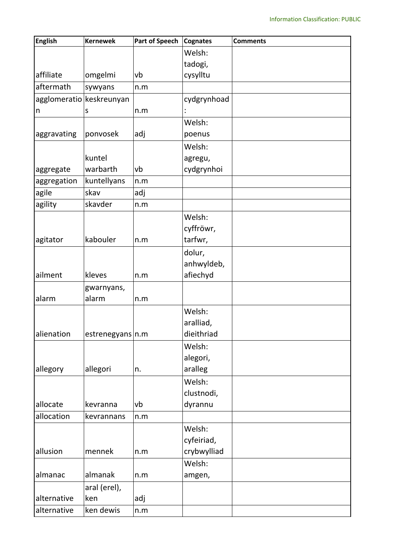| <b>English</b>           | <b>Kernewek</b>  | <b>Part of Speech</b> | <b>Cognates</b> | <b>Comments</b> |
|--------------------------|------------------|-----------------------|-----------------|-----------------|
|                          |                  |                       | Welsh:          |                 |
|                          |                  |                       | tadogi,         |                 |
| affiliate                | omgelmi          | vb                    | cysylltu        |                 |
| aftermath                | sywyans          | n.m                   |                 |                 |
| agglomeratio keskreunyan |                  |                       | cydgrynhoad     |                 |
| n                        | S                | n.m                   |                 |                 |
|                          |                  |                       | Welsh:          |                 |
| aggravating              | ponvosek         | adj                   | poenus          |                 |
|                          |                  |                       | Welsh:          |                 |
|                          | kuntel           |                       | agregu,         |                 |
| aggregate                | warbarth         | vb                    | cydgrynhoi      |                 |
| aggregation              | kuntellyans      | n.m                   |                 |                 |
| agile                    | skav             | adj                   |                 |                 |
| agility                  | skavder          | n.m                   |                 |                 |
|                          |                  |                       | Welsh:          |                 |
|                          |                  |                       | cyffröwr,       |                 |
| agitator                 | kabouler         | n.m                   | tarfwr,         |                 |
|                          |                  |                       | dolur,          |                 |
|                          |                  |                       | anhwyldeb,      |                 |
| ailment                  | kleves           | n.m                   | afiechyd        |                 |
|                          | gwarnyans,       |                       |                 |                 |
| alarm                    | alarm            | n.m                   |                 |                 |
|                          |                  |                       | Welsh:          |                 |
|                          |                  |                       | aralliad,       |                 |
| alienation               | estrenegyans n.m |                       | dieithriad      |                 |
|                          |                  |                       | Welsh:          |                 |
|                          |                  |                       | alegori,        |                 |
| allegory                 | allegori         | n.                    | aralleg         |                 |
|                          |                  |                       | Welsh:          |                 |
|                          |                  |                       | clustnodi,      |                 |
| allocate                 | kevranna         | vb                    | dyrannu         |                 |
| allocation               | kevrannans       | n.m                   |                 |                 |
|                          |                  |                       | Welsh:          |                 |
|                          |                  |                       | cyfeiriad,      |                 |
| allusion                 | mennek           | n.m                   | crybwylliad     |                 |
|                          |                  |                       | Welsh:          |                 |
| almanac                  | almanak          | n.m                   | amgen,          |                 |
|                          | aral (erel),     |                       |                 |                 |
| alternative              | ken              | adj                   |                 |                 |
| alternative              | ken dewis        | n.m                   |                 |                 |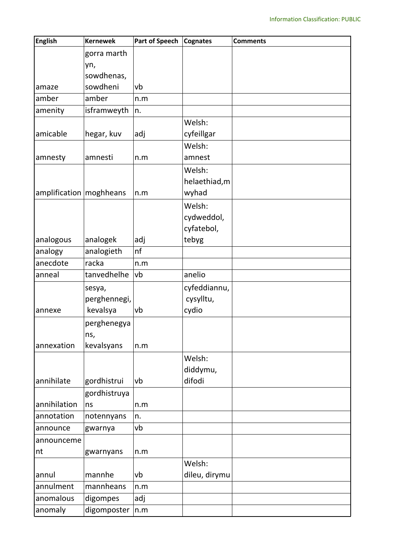| <b>English</b>            | <b>Kernewek</b> | Part of Speech | <b>Cognates</b> | <b>Comments</b> |
|---------------------------|-----------------|----------------|-----------------|-----------------|
|                           | gorra marth     |                |                 |                 |
|                           | yn,             |                |                 |                 |
|                           | sowdhenas,      |                |                 |                 |
| amaze                     | sowdheni        | vb             |                 |                 |
| amber                     | amber           | n.m            |                 |                 |
| amenity                   | isframweyth     | n.             |                 |                 |
|                           |                 |                | Welsh:          |                 |
| amicable                  | hegar, kuv      | adj            | cyfeillgar      |                 |
|                           |                 |                | Welsh:          |                 |
| amnesty                   | amnesti         | n.m            | amnest          |                 |
|                           |                 |                | Welsh:          |                 |
|                           |                 |                | helaethiad, m   |                 |
| amplification   moghheans |                 | n.m            | wyhad           |                 |
|                           |                 |                | Welsh:          |                 |
|                           |                 |                | cydweddol,      |                 |
|                           |                 |                | cyfatebol,      |                 |
| analogous                 | analogek        | adj            | tebyg           |                 |
| analogy                   | analogieth      | nf             |                 |                 |
| anecdote                  | racka           | n.m            |                 |                 |
| anneal                    | tanvedhelhe     | vb             | anelio          |                 |
|                           | sesya,          |                | cyfeddiannu,    |                 |
|                           | perghennegi,    |                | cysylltu,       |                 |
| annexe                    | kevalsya        | vb             | cydio           |                 |
|                           | perghenegya     |                |                 |                 |
|                           | ns,             |                |                 |                 |
| annexation                | kevalsyans      | n.m            |                 |                 |
|                           |                 |                | Welsh:          |                 |
|                           |                 |                | diddymu,        |                 |
| annihilate                | gordhistrui     | vb             | difodi          |                 |
|                           | gordhistruya    |                |                 |                 |
| annihilation              | ns              | n.m            |                 |                 |
| annotation                | notennyans      | n.             |                 |                 |
| announce                  | gwarnya         | vb             |                 |                 |
| announceme                |                 |                |                 |                 |
| nt                        | gwarnyans       | n.m            |                 |                 |
|                           |                 |                | Welsh:          |                 |
| annul                     | mannhe          | vb             | dileu, dirymu   |                 |
| annulment                 | mannheans       | n.m            |                 |                 |
| anomalous                 | digompes        | adj            |                 |                 |
| anomaly                   | digomposter     | n.m            |                 |                 |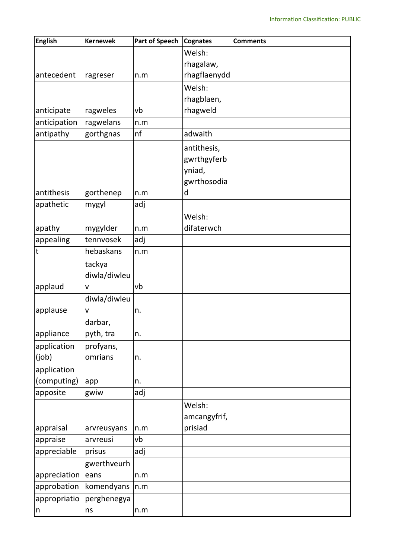| <b>English</b> | <b>Kernewek</b> | <b>Part of Speech</b> | <b>Cognates</b> | <b>Comments</b> |
|----------------|-----------------|-----------------------|-----------------|-----------------|
|                |                 |                       | Welsh:          |                 |
|                |                 |                       | rhagalaw,       |                 |
| antecedent     | ragreser        | n.m                   | rhagflaenydd    |                 |
|                |                 |                       | Welsh:          |                 |
|                |                 |                       | rhagblaen,      |                 |
| anticipate     | ragweles        | vb                    | rhagweld        |                 |
| anticipation   | ragwelans       | n.m                   |                 |                 |
| antipathy      | gorthgnas       | nf                    | adwaith         |                 |
|                |                 |                       | antithesis,     |                 |
|                |                 |                       | gwrthgyferb     |                 |
|                |                 |                       | yniad,          |                 |
|                |                 |                       | gwrthosodia     |                 |
| antithesis     | gorthenep       | n.m                   | d               |                 |
| apathetic      | mygyl           | adj                   |                 |                 |
|                |                 |                       | Welsh:          |                 |
| apathy         | mygylder        | n.m                   | difaterwch      |                 |
| appealing      | tennvosek       | adj                   |                 |                 |
| $\sf t$        | hebaskans       | n.m                   |                 |                 |
|                | tackya          |                       |                 |                 |
|                | diwla/diwleu    |                       |                 |                 |
| applaud        | V               | vb                    |                 |                 |
|                | diwla/diwleu    |                       |                 |                 |
| applause       | $\mathsf{V}$    | n.                    |                 |                 |
|                | darbar,         |                       |                 |                 |
| appliance      | pyth, tra       | n.                    |                 |                 |
| application    | profyans,       |                       |                 |                 |
| (job)          | omrians         | n.                    |                 |                 |
| application    |                 |                       |                 |                 |
| (computing)    | app             | n.                    |                 |                 |
| apposite       | gwiw            | adj                   |                 |                 |
|                |                 |                       | Welsh:          |                 |
|                |                 |                       | amcangyfrif,    |                 |
| appraisal      | arvreusyans     | n.m                   | prisiad         |                 |
| appraise       | arvreusi        | vb                    |                 |                 |
| appreciable    | prisus          | adj                   |                 |                 |
|                | gwerthveurh     |                       |                 |                 |
| appreciation   | eans            | n.m                   |                 |                 |
| approbation    | komendyans      | n.m                   |                 |                 |
| appropriatio   | perghenegya     |                       |                 |                 |
| n              | ns              | n.m                   |                 |                 |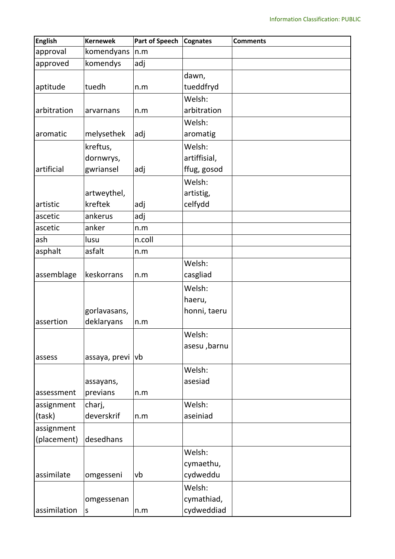| <b>English</b> | <b>Kernewek</b> | <b>Part of Speech</b> | <b>Cognates</b> | <b>Comments</b> |
|----------------|-----------------|-----------------------|-----------------|-----------------|
| approval       | komendyans      | n.m                   |                 |                 |
| approved       | komendys        | adj                   |                 |                 |
|                |                 |                       | dawn,           |                 |
| aptitude       | tuedh           | n.m                   | tueddfryd       |                 |
|                |                 |                       | Welsh:          |                 |
| arbitration    | arvarnans       | n.m                   | arbitration     |                 |
|                |                 |                       | Welsh:          |                 |
| aromatic       | melysethek      | adj                   | aromatig        |                 |
|                | kreftus,        |                       | Welsh:          |                 |
|                | dornwrys,       |                       | artiffisial,    |                 |
| artificial     | gwriansel       | adj                   | ffug, gosod     |                 |
|                |                 |                       | Welsh:          |                 |
|                | artweythel,     |                       | artistig,       |                 |
| artistic       | kreftek         | adj                   | celfydd         |                 |
| ascetic        | ankerus         | adj                   |                 |                 |
| ascetic        | anker           | n.m                   |                 |                 |
| ash            | lusu            | n.coll                |                 |                 |
| asphalt        | asfalt          | n.m                   |                 |                 |
|                |                 |                       | Welsh:          |                 |
| assemblage     | keskorrans      | n.m                   | casgliad        |                 |
|                |                 |                       | Welsh:          |                 |
|                |                 |                       | haeru,          |                 |
|                | gorlavasans,    |                       | honni, taeru    |                 |
| assertion      | deklaryans      | n.m                   |                 |                 |
|                |                 |                       | Welsh:          |                 |
|                |                 |                       | asesu ,barnu    |                 |
| assess         | assaya, previ   | vb                    |                 |                 |
|                |                 |                       | Welsh:          |                 |
|                | assayans,       |                       | asesiad         |                 |
| assessment     | previans        | n.m                   |                 |                 |
| assignment     | charj,          |                       | Welsh:          |                 |
| (task)         | deverskrif      | n.m                   | aseiniad        |                 |
| assignment     |                 |                       |                 |                 |
| (placement)    | desedhans       |                       |                 |                 |
|                |                 |                       | Welsh:          |                 |
|                |                 |                       | cymaethu,       |                 |
| assimilate     | omgesseni       | vb                    | cydweddu        |                 |
|                |                 |                       | Welsh:          |                 |
|                | omgessenan      |                       | cymathiad,      |                 |
| assimilation   | $\sf S$         | n.m                   | cydweddiad      |                 |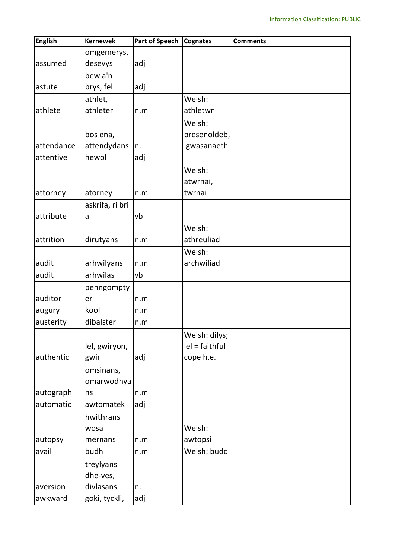| <b>English</b> | <b>Kernewek</b> | <b>Part of Speech</b> | <b>Cognates</b>  | <b>Comments</b> |
|----------------|-----------------|-----------------------|------------------|-----------------|
|                | omgemerys,      |                       |                  |                 |
| assumed        | desevys         | adj                   |                  |                 |
|                | bew a'n         |                       |                  |                 |
| astute         | brys, fel       | adj                   |                  |                 |
|                | athlet,         |                       | Welsh:           |                 |
| athlete        | athleter        | n.m                   | athletwr         |                 |
|                |                 |                       | Welsh:           |                 |
|                | bos ena,        |                       | presenoldeb,     |                 |
| attendance     | attendydans     | n.                    | gwasanaeth       |                 |
| attentive      | hewol           | adj                   |                  |                 |
|                |                 |                       | Welsh:           |                 |
|                |                 |                       | atwrnai,         |                 |
| attorney       | atorney         | n.m                   | twrnai           |                 |
|                | askrifa, ri bri |                       |                  |                 |
| attribute      | a               | vb                    |                  |                 |
|                |                 |                       | Welsh:           |                 |
| attrition      | dirutyans       | n.m                   | athreuliad       |                 |
|                |                 |                       | Welsh:           |                 |
| audit          | arhwilyans      | n.m                   | archwiliad       |                 |
| audit          | arhwilas        | vb                    |                  |                 |
|                | penngompty      |                       |                  |                 |
| auditor        | er              | n.m                   |                  |                 |
| augury         | kool            | n.m                   |                  |                 |
| austerity      | dibalster       | n.m                   |                  |                 |
|                |                 |                       | Welsh: dilys;    |                 |
|                | lel, gwiryon,   |                       | $lel = faithful$ |                 |
| authentic      | gwir            | adj                   | cope h.e.        |                 |
|                | omsinans,       |                       |                  |                 |
|                | omarwodhya      |                       |                  |                 |
| autograph      | ns              | n.m                   |                  |                 |
| automatic      | awtomatek       | adj                   |                  |                 |
|                | hwithrans       |                       |                  |                 |
|                | wosa            |                       | Welsh:           |                 |
| autopsy        | mernans         | n.m                   | awtopsi          |                 |
| avail          | budh            | n.m                   | Welsh: budd      |                 |
|                | treylyans       |                       |                  |                 |
|                | dhe-ves,        |                       |                  |                 |
| aversion       | divlasans       | n.                    |                  |                 |
| awkward        | goki, tyckli,   | adj                   |                  |                 |